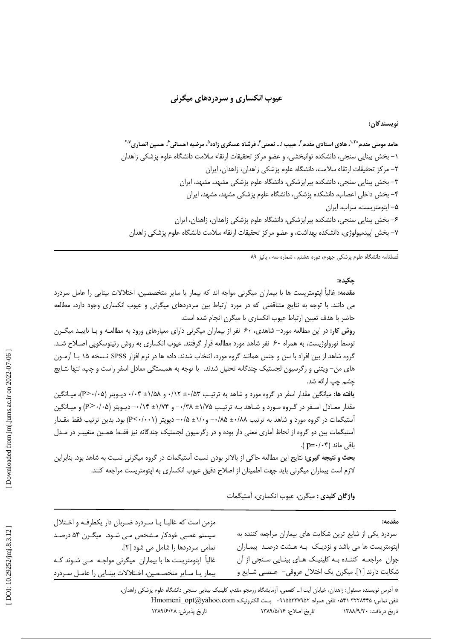### عيوب انکساري و سردردهاي ميگرني

نويسندگان:

فصلنامه دانشگاه علوم پزشکی جهرم، دوره هشتم ، شماره سه ، پائیز ۸۹

#### حكىدە:

**مقدمه:** غالباً اپتومتریست ها با بیماران میگرنی مواجه اند که بیمار یا سایر متخصصین، اختلالات بینایی را عامل سردرد می دانند. با توجه به نتایج متناقضی که در مورد ارتباط بین سردردهای میگرنی و عیوب انکساری وجود دارد، مطالعه حاضر با هدف تعیین ارتباط عیوب انکساری با میگرن انجام شده است.

**روش کار:** در این مطالعه مورد– شاهدی، ۶۰ نفر از بیماران میگرنی دارای معیارهای ورود به مطالعـه و بـا تاییـد میگـرن توسط نورولوژیست، به همراه ۶۰ نفر شاهد مورد مطالعه قرار گرفتند. عیوب انکساری به روش رتینوسکوپی اصـلاح شـد. گروه شاهد از بین افراد با سن و جنس همانند گروه مورد، انتخاب شدند. داده ها در نرم افزار SPSS نـسخه ۱۵ بـا آزمـون های من– ویتنی و رگرسیون لجستیک چندگانه تحلیل شدند. با توجه به همبستگی معادل اسفر راست و چپ، تنها نتـایج چشم چپ ارائه شد.

یافته ها: میانگین مقدار اسفر در گروه مورد و شاهد به ترتیب ۵۳/۰+ ۰/۱۲ و ۱/۵۸± ۰/۰۴ دیـوپتر (۲۰۰۵-+P)، میـانگین مقدار معادل اسفر در گروه مورد و شاهد به ترتیب ۱/۷۵± ۱/۳۸+ ۰/۳۸+ و ۱/۷۴± ۰/۱۴- دیوپتر (۲۰/۰۵) و میانگین آستیگمات در گروه مورد و شاهد به ترتیب ۰۰/۸۵± ۰۰/۵+ ۱/۰۵± ۰۰/۵+ دیویتر (P<۰/۰۰۱) بود. بدین ترتیب فقط مقـدار أستیگمات بین دو گروه از لحاظ آماری معنی دار بوده و در رگرسیون لجستیک چندگانه نیز فقـط همـین متغییـر در مـدل باقی ماند (p=٠/٠۴).

**بحث و نتیجه گیری:** نتایج این مطالعه حاکی از بالاتر بودن نسبت آستیگمات در گروه میگرنی نسبت به شاهد بود. بنابراین لازم است بیماران میگرنی باید جهت اطمینان از اصلاح دقیق عیوب انکساری به اپتومتریست مراجعه کنند.

مزمن است که غالبــا بــا ســردرد ضــربان دار یکطرفــه و اخــتلال

سیستم عصبی خودکار مـشخص مـی شـود. میگـرن ۵۴ درصـد

غالباً اپتومتریست ها با بیماران میگرنی مواجـه مـی شـوند کـه

بیمار یـا سـایر متخصـصین، اخـتلالات بینـایی را عامـل سـردرد

تمامی سردردها را شامل می شود [۲].

واژگان **کلیدی :** میگرن، عبوب انکساری، آستیگمات

#### مقدمه:

سردرد یکی از شایع ترین شکایت های بیماران مراجعه کننده به اپتومتریست ها می باشد و نزدیک به هشت درصد بیماران جوان ً مراجعـه کننـده بـه کلینیـک هـای بینـایی سـنجی از آن شکایت دارند [۱]. میگرن یک اختلال عروقی– عـصبی شـایع و

\* أدرس نويسنده مسئول: زاهدان، خيابان أيت ا... كفعمي، أزمايشگاه رزمجو مقدم، كلينيك بينايي سنجي دانشگاه علوم پزشكي زاهدان، تلفن تماس: ٢٢٢٨۴۴۵ ٥٣٠ تلفن همراه: ٩١٥٥٣٣٧٩٥٢٠ - يست الكترونيك: Hmomeni opt@yahoo.com تاريخ پذيرش: ١٣٨٩/۶/٢٨ تاريخ اصلاح: ١٣٨٩/٥/١٣ تاريخ دريافت: ١٣٨٨/٩/٣٠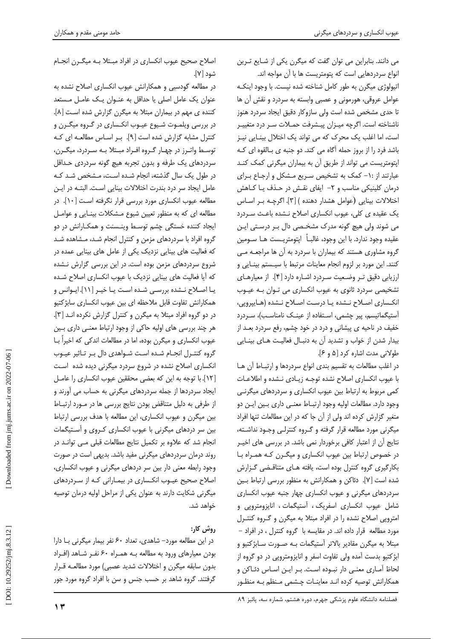می دانند. بنابراین می توان گفت که میگرن یکی از شـایع تـرین انواع سردردهایی است که یتومتریست ها با آن مواجه اند.

اتیولوژی میگرن به طور کامل شناخته شده نیست. با وجود اینکـه عوامل عروقي، هورموني و عصبي وابسته به سردرد و نقش آن ها تا حدی مشخص شده است ولی سازوکار دقیق ایجاد سردرد هنوز ناشناخته است. اگرچه میـزان پیـشرفت حمـلات سـر درد متغییـر است، اما اغلب یک محرک که می تواند یک اختلال بینـایی نیـز باشد فرد را از بروز حمله آگاه می کند. دو جنبه ی بالقوه ای کـه ایتومتریست می تواند از طریق آن به بیماران میگرنی کمک کنـد عبارتند از : ١- کمک به تشخیص سـریع مـشکل و ارجـاع بـرای درمان کلینیکی مناسب و ۲– ایفای نقش در حـذف یـا کـاهش اختلالات بينايي (عوامل هشدار دهنده ) [٣]. اگرچـه بـر اسـاس یک عقیده ی کلی، عیوب انکساری اصلاح نـشده باعـث سـردرد می شوند ولی هیچ گونه مدرک مشخصی دال بـر درسـتی ایـن عقيده وجود ندارد. با اين وجود، غالبـاً ايتومتريــست هـا ســومين گروه مشاوری هستند که بیماران با سردرد به آن ها مراجعه می كنند. اين مورد بر لزوم انجام معاينات مرتبط با سيـستم بينـايي و ارزيابي دقيق تر وضعيت سردرد اشاره دارد [۴]. از معيارهاي تشخیصی سردرد ثانوی به عیوب انکساری می تـوان بـه عیـوب انکساری اصلاح نـشده یـا درسـت اصـلاح نـشده (هـایپرویی، آستیگماتیسم، پیر چشمی، استفاده از عینک نامناسب)، سـردرد خفیف در ناحیه ی پیشانی و درد در خود چشم، رفع سردرد بعـد از بیدار شدن از خواب و تشدید آن به دنبـال فعالیـت هـای بینـایی طولانی مدت اشاره کرد [۵ و ۶].

در اغلب مطالعات به تقسيم بندى انواع سردردها و ارتباط آن هـا با عیوب انکساری اصلاح نشده توجـه زیـادی نـشده و اطلاعـات کمی مربوط به ارتباط بین عیوب انکساری و سردردهای میگرنـی وجود دارد. مطالعات اوليه وجود ارتبـاط معنـى دارى بـين ايـن دو متغیر گزارش کرده اند ولی از آن جا که در این مطالعات تنها افراد میگرنی مورد مطالعه قرار گرفته و گـروه کنترلـی وجـود نداشـته، نتايج آن از اعتبار كافي برخوردار نمي باشد. در بررسي هاي اخيـر در خصوص ارتباط بین عیوب انکساری و میگـرن کـه همـراه بـا بکارگیری گروه کنترل بوده است، یافته هـای متناقـضی گـزارش شده است [۷]. دئاکن و همکارانش به منظور بررسی ارتباط بین سردردهای میگرنی و عیوب انکساری چهار جنبه عیوب انکساری شامل عیوب انکساری اسفریک ، آستیگمات ، انایزومتروپی و امترویی اصلاح نشده را در افراد مبتلا به میگرن و گـروه کنتـرل مورد مطالعه قرار داده اند. در مقایسه با گروه کنترل ، در افراد – مبتلا به میگرن مقادیر بالاتر آستیگمات بـه صـورت سـابژکتیو و ابژکتیو بدست آمده ولی تفاوت اسفر و انایزومتروپی در دو گروه از لحاظ آمـاري معنـي دار نبـوده اسـت. بـر ايـن اسـاس دئـاكن و همکارانش توصیه کرده انـد معاینـات چـشمی مـنظم بـه منظـور

اصلاح صحیح عیوب انکساری در افراد مبـتلا بـه میگـرن انجـام شود [۷].

در مطالعه گودسبی و همکارانش عیوب انکساری اصلاح نشده به عنوان یک عامل اصلی یا حداقل به عنـوان یـک عامـل مـستعد کننده ی مهم در بیماران مبتلا به میگرن گزارش شده است [۸]. در بررسی ویلمـوت شـیوع عیـوب انکـساری در گـروه میگـرن و کنترل مشابه گزارش شده است [۹]. ببر اسباس مطالعبه ای کبه توسط واترز در چهـار گـروه افـراد مبـتلا بـه سـردرد، میگـرن، سردردهای یک طرفه و بدون تجربه هیچ گونه سردردی حـداقل در طول یک سال گذشته، انجام شـده اسـت، مـشخص شـد کـه عامل ایجاد سر درد بندرت اختلالات بینایی است. البتـه در ایـن مطالعه عیوب انکساری مورد بررسی قرار نگرفته است [۱۰]. در مطالعه ای که به منظور تعیین شیوع مـشکلات بینـایی و عوامـل ایجاد کننده خستگی چشم توسط وینـسنت و همکـارانش در دو گروه افراد با سردردهای مزمن و کنترل انجام شـد، مـشاهده شـد که فعالیت های بینایی نزدیک یکی از عامل های بینایی عمده در شروع سردردهای مزمن بوده است. در این بررسی گزارش نـشده که آیا فعالیت های بینایی نزدیک با عیوب انکساری اصلاح شده یـا اصـلاح نـشده بررسـى شـده اسـت یـا خیـر [١١]. ایـوانس و همكارانش تفاوت قابل ملاحظه اي بين عيوب انكساري سابژكتيو در دو گروه افراد مبتلا به میگرن و کنترل گزارش نکرده اند [۳]. هر چند بررسی های اولیه حاکی از وجود ارتباط معنـی داری بـین عیوب انکساری و میگرن بوده، اما در مطالعات اندکی که اخیراً بـا گروه كنتـرل انجـام شـده اسـت شـواهدى دال بـر تـاثير عيـوب انکساری اصلاح نشده در شروع سردرد میگرنی دیده شده است [١٢]. با توجه به این که بعضی محققین عیوب انکساری را عامـل ایجاد سردردها از جمله سردردهای میگرنی به حساب می آورند و از طرفی به دلیل متناقض بودن نتایج بررسی ها در مورد ارتباط بین میگرن و عیوب انکساری، این مطالعه با هدف بررسی ارتباط بین سر دردهای میگرنی با عیوب انکساری کـروی و آسـتیگمات انجام شد که علاوه بر تکمیل نتایج مطالعات قبلی مے توانـد در روند درمان سردردهای میگرنی مفید باشد. بدیهی است در صورت وجود رابطه معنی دار بین سر دردهای میگرنی و عیوب انکساری، اصلاح صحیح عیـوب انکـساری در بیمـارانی کـه از سـردردهای میگرنی شکایت دارند به عنوان یکی از مراحل اولیه درمان توصیه خواهد شد.

# روش کار:

در این مطالعه مورد- شاهدی، تعداد ۶۰ نفر بیمار میگرنی بـا دارا بودن معیارهای ورود به مطالعه بـه همـراه ۶۰ نفـر شـاهد (افـراد بدون سابقه ميگرن و اختلالات شديد عصبي) مورد مطالعـه قــرار گرفتند. گروه شاهد بر حسب جنس و سن با افراد گروه مورد جور

 $\gamma$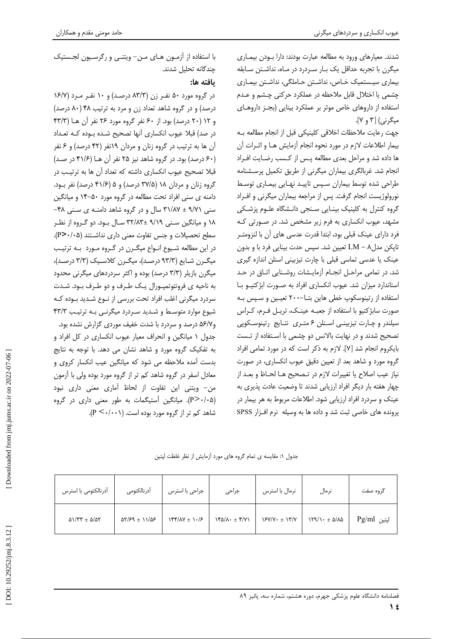شدند. معیارهای ورود به مطالعه عبارت بودند: دارا بـودن بیمـاری میگرن با تجربه حداقل یک بـار سـردرد در مـاه، نداشـتن سـابقه بیماری سیستمیک خـاص، نداشـتن حـاملگی، نداشـتن بیمـاری چشمی یا اختلال قابل ملاحظه در عملکرد حرکتی چشم و عـدم استفاده از داروهای خاص موثر بر عملکرد بینایی (بجـز داروهـای میگرنی) [۳ و ۷].

جهت رعايت ملاحظات اخلاقى كلينيكي قبل از انجام مطالعه بـه بیمار اطلاعات لازم در مورد نحوه انجام آزمایش هـا و اثـرات آن ها داده شد و مراحل بعدى مطالعه پس از كسب رضايت افراد انجام شد. غربالگری بیماران میگرنی از طریق تکمیل پرسشنامه طراحی شده توسط بیماران سیس تاییـد نهـایی بیمـاری توسـط نورولوژیست انجام گرفت. پس از مراجعه بیماران میگرنی و افـراد گروه کنترل به کلینیک بینـایی سـنجی دانـشگاه علـوم پزشـکی مشهد، عیوب انکساری به فرم زیر مشخص شد. در صـورتی کـه فرد دارای عینک قبلی بود، ابتدا قدرت عدسی های آن با لنزومتـر تاپکن مدلA - N تعیین شد. سپس حدت بینایی فرد با و بدون عینک یا عدسی تماسی قبلی با چارت تیزبینی اسنلن اندازه گیری شد. در تمامی مراحل انجام آزمایشات روشنایی اتاق در حد استاندارد میزان شد. عیوب انکساری افراد به صورت ابژکتیو با استفاده از رتینوسکوپ خطی هاین بتا-۲۰۰ تعیین و سپس به صورت سابژکتیو با استفاده از جعبه عینک، تریل فرم، کراس سیلندر و چارت تیزبینی اسنلن ۶ متری نتایج رتینوسکوپی تصحیح شدند و در نهایت بالانس دو چشمی با استفاده از تـست بایکروم انجام شد [۷]. لازم به ذکر است که در مورد تمامی افراد گروه مورد و شاهد بعد از تعیین دقیق عیوب انکساری، در صورت نياز عيب اصلاح يا تغييرات لازم در تـصحيح هـا لحـاظ و بعـد از چهار هفته بار دیگر افراد ارزیابی شدند تا وضعیت عادت پذیری به عینک و سردرد افراد ارزیابی شود. اطلاعات مربوط به هر بیمار در یرونده های خاصی ثبت شد و داده ها به وسیله نرم افزار SPSS

با استفاده از آزمـون هـای مـن- ویتنـی و رگرسـیون لجـستیک چندگانه تحلیل شدند.

## يافته ها:

در گروه مورد ۵۰ نفـر زن (۸۳/۳ درصـد) و ۱۰ نفـر مـرد (۱۶/۷ درصد) و در گروه شاهد تعداد زن و مرد به ترتیب ۴۸ (۸۰ درصد) و ١٢ (٢٠ درصد) بود. از ۶۰ نفر گروه مورد ٢۶ نفر آن هـا (۴۳/۳ در صد) قبلا عیوب انکساری آنها تصحیح شـده بـوده کـه تعـداد آن ها به ترتیب در گروه زنان و مردان ۱۹نفر (۴۲ درصد) و ۶ نفر (۶۰ درصد) بود. در گروه شاهد نیز ۲۵ نفر آن هـا (۴۱/۶ در صـد) قبلا تصحیح عیوب انکساری داشته که تعداد آن ها به ترتیب در گروه زنان و مردان ۱۸ (۳۷/۵ درصد) و ۵ (۴۱/۶ درصد) نفر بود. دامنه ی سنی افراد تحت مطالعه در گروه مورد ۵۰-۱۴ و میانگین سنی ۹/۷۱ ± ۳۱/۸۷ سال و در گروه شاهد دامنـه ی سـنی ۴۸-۱۸ و میانگین سـنی ۹/۱۹ ±۳۲/۸۳ سـال بـود. دو گـروه از نظـر سطح تحصیلات و جنس تفاوت معنی داری نداشتند (P>٠/٠۵). در این مطالعه شـیوع انـواع میگـرن در گـروه مـورد بـه ترتیـب میگرن شایع (۹۳/۳ درصد)، میگرن کلاسیک (۳/۳ درصد)، میگرن بازیلر (۳/۳ درصد) بوده و اکثر سردردهای میگرنی محدود به ناحیه ی فرونتوتمپورال یک طرف و دو طرف بود. شدت سردرد میگرنی اغلب افراد تحت بررسی از نـوع شـدید بـوده کـه شیوع موارد متوسط و شدید سردرد میگرنے ، به ترتیب ۴۳/۳ و۵۶/۷ درصد و سردرد با شدت خفیف موردی گزارش نشده بود. جدول ۱ میانگین و انحراف معیار عیوب انکساری در کل افراد و به تفکیک گروه مورد و شاهد نشان می دهد. با توجه به نتایج بدست آمده ملاحظه می شود که میانگین عیب انکسار کروی و معادل اسفر در گروه شاهد کم تر از گروه مورد بوده ولی با آزمون من- ويتني اين تفاوت از لحاظ آماري معنى داري نبود (P>۰/۰۵). میانگین آستیگمات به طور معنی داری در گروه شاهد کم تر از گروه مورد بوده است. (۱۰۰۱/۰۰).

جدول ١: مقايسه ى تمام گروه هاى مورد آزمايش از نظر غلظت لپتين

| أدرنالكتومي با استرس                               | أدرنالكتومى                                       | جراحی با استرس    | جراحى                                     | نرمال با استرس          | نرمال                                                  | گروہ صفت    |
|----------------------------------------------------|---------------------------------------------------|-------------------|-------------------------------------------|-------------------------|--------------------------------------------------------|-------------|
| $\Delta$ / $\Gamma$ + $\Delta$ / $\Delta$ $\Gamma$ | $\Delta Y/\mathcal{F}9 \pm 11/\Delta \mathcal{F}$ | $Yf'(XY \pm Y)/F$ | $Y^{\alpha}/\lambda \cdot \pm Y^{\alpha}$ | $Y/Y/Y \cdot \pm Y''/Y$ | $\lambda \mathcal{A}/\lambda \cdot \pm \Delta/\lambda$ | لپتين Pg/ml |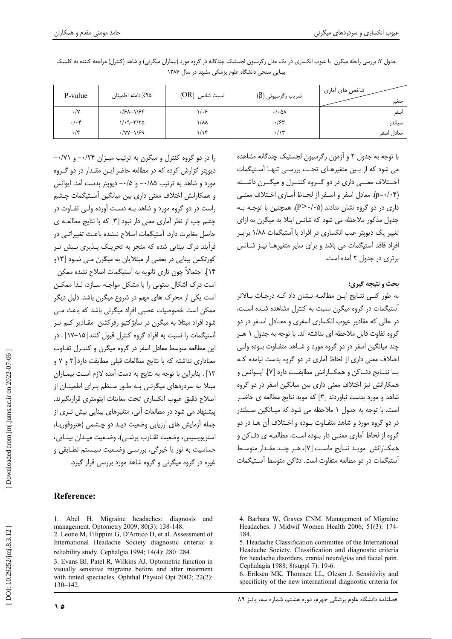| P-value          | ۹۵٪ دامنه اطمینان                    | نسبت شانس  (OR) | ضریب رگرسیونی (β) | شاخص های آماری<br>متغير |
|------------------|--------------------------------------|-----------------|-------------------|-------------------------|
| $\cdot/\Upsilon$ | $\frac{1}{5}\frac{1}{2}-\frac{1}{2}$ | ۱/۰۶            | $\cdot/\cdot$ ۵۸  | اسفر                    |
| $\cdot/\cdot$ ۴  | $1/\cdot 9 - 772$                    | ۱/۸۸            | $\cdot$ /۶۳       | سيلندر                  |
| $\cdot$ /۴       | $\cdot$ /YY- $\frac{1}{5}$           | ۱/۱۴            | $\cdot/\gamma$    | معادل اسفر              |

جدول ۲: بررسی رابطه میگرن با عیوب انکساری در یک مدل رگرسیون لجستیک چندگانه در گروه مورد (بیماران میگرنی) و شاهد (کنترل) مراجعه کننده به کلینیک بینایی سنجی دانشگاه علوم پزشکی مشهد در سال ۱۳۸۷

را در دو گروه کنترل و میگرن به ترتیب میـزان ۰/۲۴- و ۰/۷۱-دیویتر گزارش کرده که در مطالعه حاضر ایـن مقـدار در دو گـروه مورد و شاهد به ترتیب ۰/۸۵– و ۰/۵– دیویتر بدست آمد. ایوانس و همکارانش اختلاف معنی داری بین میانگین آسـتیگمات چـشم راست در دو گروه مورد و شاهد بـه دسـت آورده ولـی تفـاوت در چشم چپ از نظر آماری معنی دار نبود [۳] که با نتایج مطالعـه ی حاصل مغایرت دارد. آستیگمات اصلاح نـشده باعـث تغییراتـی در .<br>فرآیند درک بینایی شده که منجر به تحریـک پــذیری بــیش تــر کورتکس بینایی در بعضی از مبتلایان به میگرن مـی شـود [۱۳و ۱۴]. احتمالاً چون تاری ثانویه به آستیگمات اصلاح نشده ممکن است درک اشکال ستونی را با مشکل مواجـه سـازد، لـذا ممکـن است یکی از محرک های مهم در شروع میگرن باشد. دلیل دیگر ممکن است خصوصیات عصبی افراد میگرنی باشد که باعث مے، شود افراد مبتلا به میگرن در سابژکتیو رفرکشن ًمقـادیر کـم تــر آستیگمات را نسبت به افراد گروه کنترل قبول کنند [۱۵–۱۷] . در این مطالعه متوسط معادل اسفر در گروه میگرن و کنتـرل تفـاوت معناداری نداشته که با نتایج مطالعات قبلی مطابقت دارد [۳ و ۷ و ١٣] . بنابراين با توجه به نتايج به دست آمده لازم اسـت بيمـاران مبتلا به سردردهای میگرن*ـی* بـه طـور مـنظم بـرای اطمینـان از اصلاح دقیق عیوب انکساری تحت معاینات ایتومتری قراربگیرند. پیشنهاد می شود در مطالعات آتی، متغیرهای بینایی بیش تـری از جمله آزمایش های ارزیابی وضعیت دیـد دو چـشمی (هتروفوریـا، استرپویسیس، وضعیت تقـارب پرشـی)، وضـعیت میـدان بینـایی، حساسیت به نور یا خیرگی، بررسـی وضـعیت سیـستم تطـابقی و غیره در گروه میگرنی و گروه شاهد مورد بررسی قرار گیرد.

## **Reference:**

1. Abel H. Migraine headaches: diagnosis and management. Optometry 2009; 80(3): 138-148.

2. Leone M, Filippini G, D'Amico D, et al. Assessment of International Headache Society diagnostic criteria: a reliability study. Cephalgia 1994; 14(4): 280-284.

3. Evans BJ, Patel R, Wilkins AJ. Optometric function in visually sensitive migraine before and after treatment with tinted spectacles. Ophthal Physiol Opt 2002; 22(2):  $130 - 142$ 

با توجه به جدول ٢ و آزمون رگرسیون لجستیک چندگانه مشاهده می شود که از بین متغیرهـای تحـت بررسـی تنهـا آسـتیگمات اخــتلاف معنـــی داری در دو گـــروه کنتـــرل و میگـــرن داشـــته (p=٠/٠۴). معادل اسفر و اسـفر از لحـاظ آمـارى اخـتلاف معنـى داری در دو گروه نشان ندادند (۶۰/۰۵-P). همچنین با توجـه بـه جدول مذکور ملاحظه می شود که شانس ابتلا به میگرن به ازای تغییر یک دیوپتر عیب انکساری در افراد با آستیگمات ۱/۸۸ براب افراد فاقد آستیگمات می باشد و برای سایر متغیرهـا نیـز شـانس برتری در جدول ۲ آمده است.

## بحث و نتيجه گيري:

به طور كلبي نتـايج ايـن مطالعـه نـشان داد كـه درجـات بـالاتر آستیگمات در گروه میگرن نسبت به کنترل مشاهده شـده اسـت، در حالي كه مقادير عيوب انكساري اسفري و معـادل اسـفر در دو گروه تفاوت قابل ملاحظه ای نداشته اند. با توجه به جدول ۱ هـر چند میانگین اسفر در دو گروه مورد و شـاهد متفـاوت بـوده ولـی اختلاف معنی داری از لحاظ آماری در دو گروه بدست نیامده ک بــا نتــايج دئــاكن و همكــارانش مطابقــت دارد [۷]. ايــوانس و همکارانش نیز اختلاف معنی داری بین میانگین اسفر در دو گروه شاهد و مورد بدست نیاوردند [۳] که موید نتایج مطالعه ی حاضـر است. با توجه به جدول ١ ملاحظه مي شود كه ميـانگين سـيلندر در دو گروه مورد و شاهد متفـاوت بـوده و اخـتلاف آن هـا در دو گروه از لحاظ آماری معنـی دار بـوده اسـت. مطالعـه ی دئــاکن و همكـارانش مويـد نتـايج ماسـت [Y]، هـر چنـد مقـدار متوسـط آستیگمات در دو مطالعه متفاوت است. دئاکن متوسط آستیگمات

6. Eriksen MK, Thomsen LL, Olesen J. Sensitivity and specificity of the new international diagnostic criteria for

<sup>4.</sup> Barbara W, Graves CNM. Management of Migraine Headaches. J Midwif Women Health 2006; 51(3): 174-184

<sup>5.</sup> Headache Classification committee of the International Headache Society. Classification and diagnostic criteria for headache disorders, cranial neuralgias and facial pain. Cephalagia 1988; 8(suppl 7): 19-6.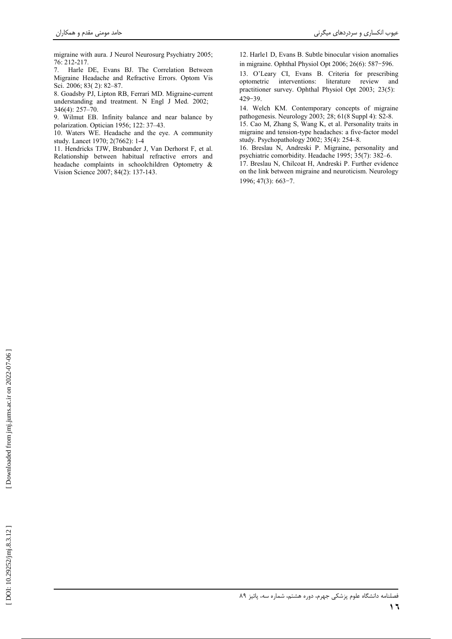migraine with aura. J Neurol Neurosurg Psychiatry 2005;  $76:212-217.$ 

7. Harle DE, Evans BJ. The Correlation Between Migraine Headache and Refractive Errors. Optom Vis Sci. 2006; 83(2): 82-87.

8. Goadsby PJ, Lipton RB, Ferrari MD. Migraine-current understanding and treatment. N Engl J Med. 2002;  $346(4): 257-70.$ 

9. Wilmut EB. Infinity balance and near balance by polarization. Optician 1956; 122: 37-43.

10. Waters WE. Headache and the eye. A community study. Lancet 1970; 2(7662): 1-4

11. Hendricks TJW, Brabander J, Van Derhorst F, et al. Relationship between habitual refractive errors and headache complaints in schoolchildren Optometry & Vision Science 2007; 84(2): 137-143.

12. Harle1 D, Evans B. Subtle binocular vision anomalies in migraine. Ophthal Physiol Opt 2006; 26(6): 587-596.

13. O'Leary CI, Evans B. Criteria for prescribing optometric interventions: literature review and practitioner survey. Ophthal Physiol Opt 2003; 23(5):  $429 - 39$ .

14. Welch KM. Contemporary concepts of migraine pathogenesis. Neurology 2003; 28; 61(8 Suppl 4): S2-8. 15. Cao M, Zhang S, Wang K, et al. Personality traits in migraine and tension-type headaches: a five-factor model study. Psychopathology 2002; 35(4): 254-8.

16. Breslau N, Andreski P. Migraine, personality and psychiatric comorbidity. Headache 1995; 35(7): 382-6. 17. Breslau N, Chilcoat H, Andreski P. Further evidence on the link between migraine and neuroticism. Neurology 1996; 47(3): 663-7.